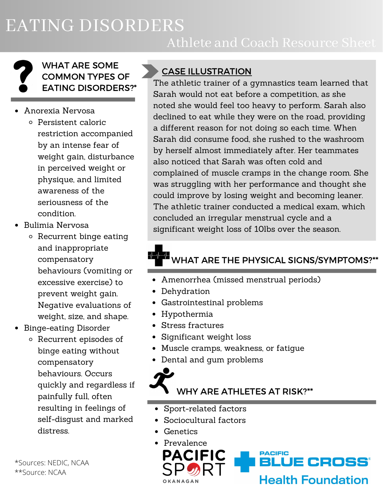EATING DISORDERS

## Athlete and Coach Resource Sheet

#### WHAT ARE SOME COMMON TYPES OF EATING DISORDERS?\*

- Anorexia Nervosa
	- Persistent caloric restriction accompanied by an intense fear of weight gain, disturbance in perceived weight or physique, and limited awareness of the seriousness of the condition.
- Bulimia Nervosa
	- o Recurrent binge eating and inappropriate compensatory behaviours (vomiting or excessive exercise) to prevent weight gain. Negative evaluations of weight, size, and shape.
- Binge-eating Disorder
	- Recurrent episodes of binge eating without compensatory behaviours. Occurs quickly and regardless if painfully full, often resulting in feelings of self-disgust and marked distress.

CASE ILLUSTRATION

The athletic trainer of a gymnastics team learned that Sarah would not eat before a competition, as she noted she would feel too heavy to perform. Sarah also declined to eat while they were on the road, providing a different reason for not doing so each time. When Sarah did consume food, she rushed to the washroom by herself almost immediately after. Her teammates also noticed that Sarah was often cold and complained of muscle cramps in the change room. She was struggling with her performance and thought she could improve by losing weight and becoming leaner. The athletic trainer conducted a medical exam, which concluded an irregular menstrual cycle and a significant weight loss of 10lbs over the season.

# WHAT ARE THE PHYSICAL SIGNS/SYMPTOMS?\*\*

- Amenorrhea (missed menstrual periods)
- Dehydration
- Gastrointestinal problems
- Hypothermia
- Stress fractures
- Significant weight loss
- Muscle cramps, weakness, or fatigue
- Dental and gum problems



- Sport-related factors
- Sociocultural factors
- Genetics
- Prevalence PACIFIC **PACIFIC** LUE CROSS° **Health Foundation**

\*Sources: NEDIC, NCAA \*\*Source: NCAA